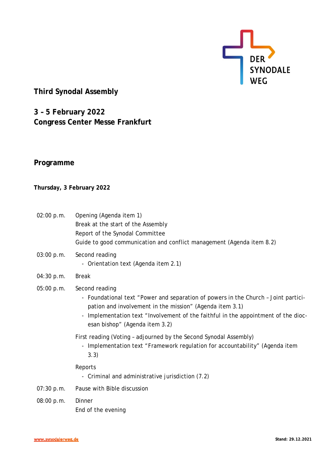

# **Third Synodal Assembly**

**3 – 5 February 2022 Congress Center Messe Frankfurt**

## **Programme**

## **Thursday, 3 February 2022**

- 02:00 p.m. Opening (Agenda item 1) Break at the start of the Assembly Report of the Synodal Committee Guide to good communication and conflict management (Agenda item 8.2)
- 03:00 p.m. Second reading - Orientation text (Agenda item 2.1)
- 04:30 p.m. Break

## 05:00 p.m. Second reading

- Foundational text "Power and separation of powers in the Church Joint participation and involvement in the mission" (Agenda item 3.1)
- Implementation text "Involvement of the faithful in the appointment of the diocesan bishop" (Agenda item 3.2)
- First reading (Voting adjourned by the Second Synodal Assembly)
	- Implementation text "Framework regulation for accountability" (Agenda item 3.3)

Reports

- Criminal and administrative jurisdiction (7.2)
- 07:30 p.m. Pause with Bible discussion
- 08:00 p.m. Dinner End of the evening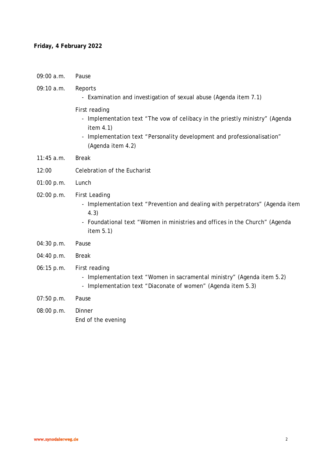### **Friday, 4 February 2022**

09:00 a.m. Pause

#### 09:10 a.m. Reports

- Examination and investigation of sexual abuse (Agenda item 7.1)
- First reading
	- Implementation text "The vow of celibacy in the priestly ministry" (Agenda item 4.1)
	- Implementation text "Personality development and professionalisation" (Agenda item 4.2)
- 11:45 a.m. Break
- 12:00 Celebration of the Eucharist
- 01:00 p.m. Lunch
- 02:00 p.m. First Leading
	- Implementation text "Prevention and dealing with perpetrators" (Agenda item 4.3)
	- Foundational text "Women in ministries and offices in the Church" (Agenda item 5.1)
- 04:30 p.m. Pause
- 04:40 p.m. Break
- 06:15 p.m. First reading
	- Implementation text "Women in sacramental ministry" (Agenda item 5.2)
	- Implementation text "Diaconate of women" (Agenda item 5.3)
- 07:50 p.m. Pause
- 08:00 p.m. Dinner End of the evening